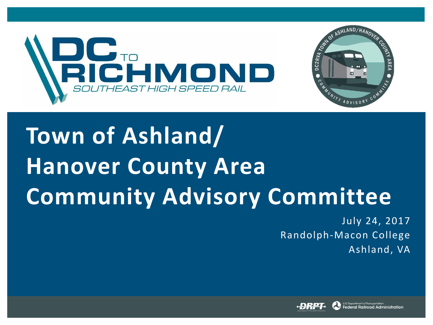

# **Town of Ashland/ Hanover County Area Community Advisory Committee**

July 24, 2017 Randolph-Macon College Ashland, VA

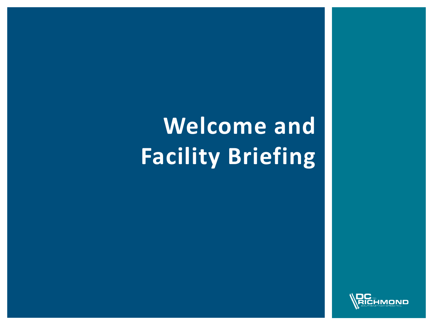# **Welcome and Facility Briefing**

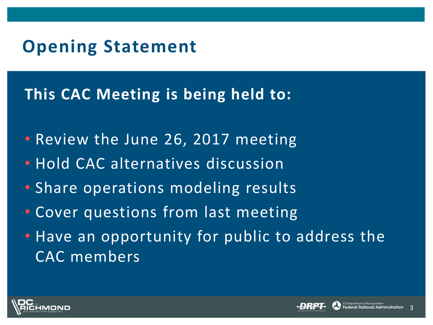### **Opening Statement**

#### **This CAC Meeting is being held to:**

- Review the June 26, 2017 meeting
- Hold CAC alternatives discussion
- Share operations modeling results
- Cover questions from last meeting
- Have an opportunity for public to address the CAC members





3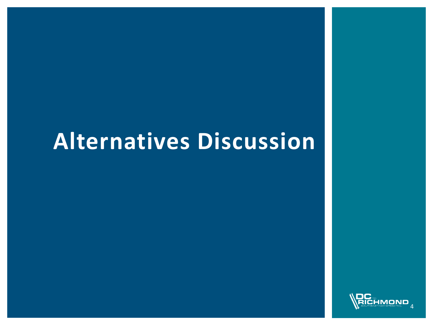### **Alternatives Discussion**

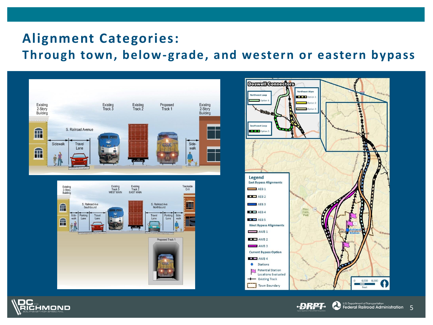#### **Alignment Categories: Through town, below-grade, and western or eastern bypass**







·<del>D</del>RPI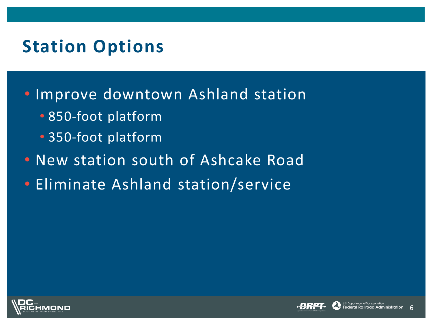### **Station Options**

- Improve downtown Ashland station
	- 850-foot platform
	- 350-foot platform
- New station south of Ashcake Road
- Eliminate Ashland station/service



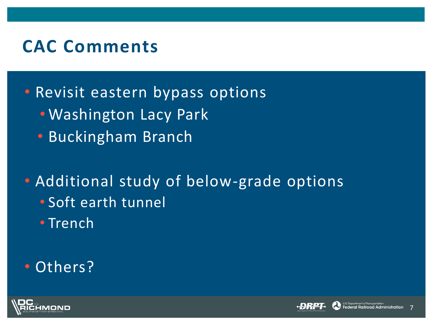#### **CAC Comments**

• Revisit eastern bypass options

- Washington Lacy Park
- Buckingham Branch

• Additional study of below-grade options • Soft earth tunnel

• Trench

#### • Others?





7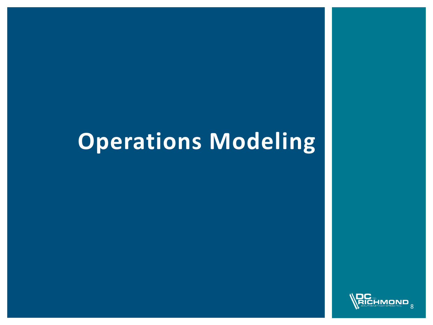### **Operations Modeling**

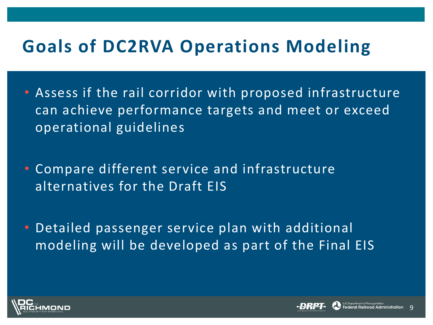#### **Goals of DC2RVA Operations Modeling**

- Assess if the rail corridor with proposed infrastructure can achieve performance targets and meet or exceed operational guidelines
- Compare different service and infrastructure alternatives for the Draft EIS
- Detailed passenger service plan with additional modeling will be developed as part of the Final EIS



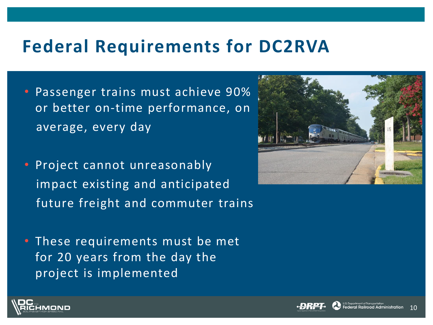#### **Federal Requirements for DC2RVA**

- Passenger trains must achieve 90% or better on-time performance, on average, every day
- Project cannot unreasonably impact existing and anticipated future freight and commuter trains
- These requirements must be met for 20 years from the day the project is implemented





10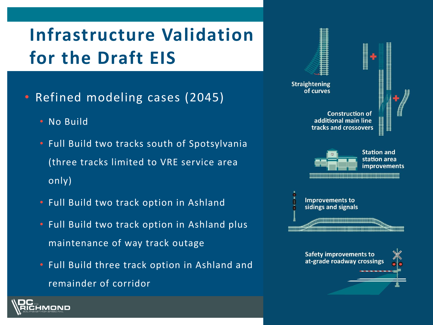### **Infrastructure Validation for the Draft EIS**

- Refined modeling cases (2045)
	- No Build

MOND

- Full Build two tracks south of Spotsylvania (three tracks limited to VRE service area only)
- Full Build two track option in Ashland
- Full Build two track option in Ashland plus maintenance of way track outage
- Full Build three track option in Ashland and remainder of corridor

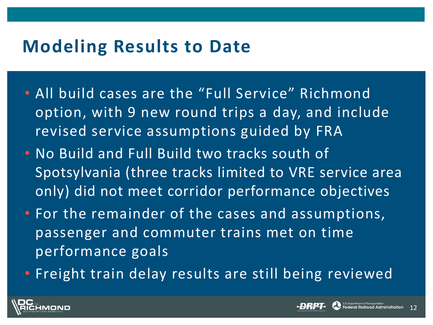#### **Modeling Results to Date**

- All build cases are the "Full Service" Richmond option, with 9 new round trips a day, and include revised service assumptions guided by FRA
- No Build and Full Build two tracks south of Spotsylvania (three tracks limited to VRE service area only) did not meet corridor performance objectives
- For the remainder of the cases and assumptions, passenger and commuter trains met on time performance goals
- Freight train delay results are still being reviewed



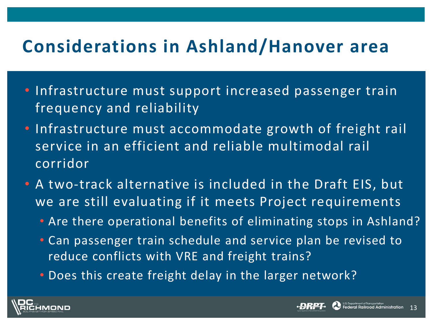#### **Considerations in Ashland/Hanover area**

- Infrastructure must support increased passenger train frequency and reliability
- Infrastructure must accommodate growth of freight rail service in an efficient and reliable multimodal rail corridor
- A two-track alternative is included in the Draft EIS, but we are still evaluating if it meets Project requirements
	- Are there operational benefits of eliminating stops in Ashland?

13

u.s. Department of Transportation<br>**Federal Railroad Administration** 

- Can passenger train schedule and service plan be revised to reduce conflicts with VRE and freight trains?
- Does this create freight delay in the larger network?

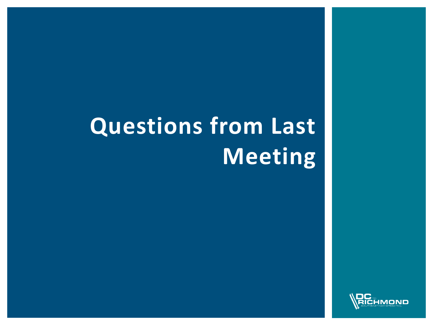# **Questions from Last Meeting**

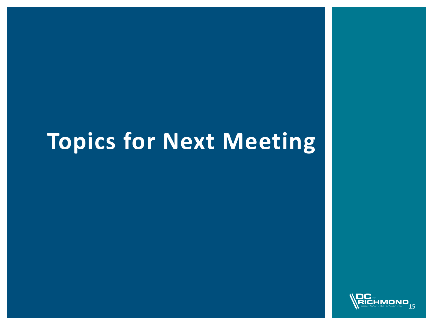### **Topics for Next Meeting**

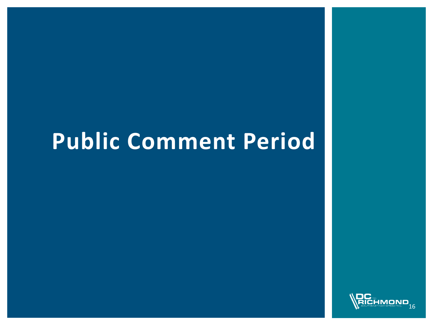## **Public Comment Period**

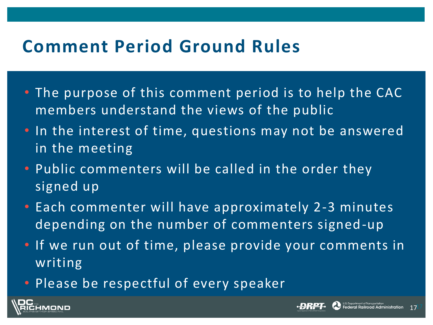#### **Comment Period Ground Rules**

- The purpose of this comment period is to help the CAC members understand the views of the public
- In the interest of time, questions may not be answered in the meeting
- Public commenters will be called in the order they signed up
- Each commenter will have approximately 2-3 minutes depending on the number of commenters signed-up
- If we run out of time, please provide your comments in writing
- Please be respectful of every speaker



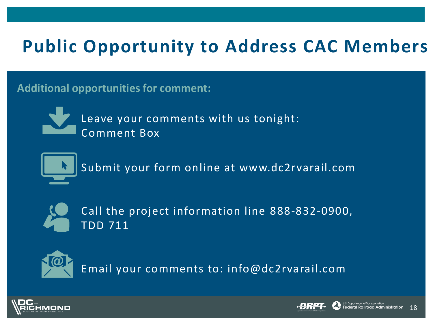### **Public Opportunity to Address CAC Members**

**Additional opportunities for comment:**



Leave your comments with us tonight: Comment Box



Submit your form online at www.dc2rvarail.com



Call the project information line 888-832-0900, TDD 711



Email your comments to: info@dc2rvarail.com



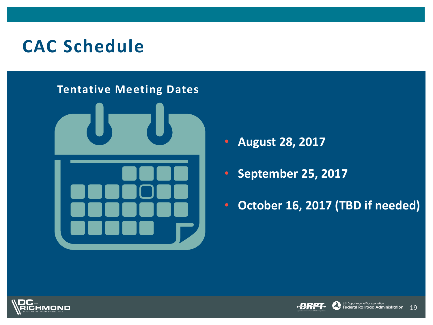#### **CAC Schedule**

#### **Tentative Meeting Dates**



- **August 28, 2017**
- **September 25, 2017**
- **October 16, 2017 (TBD if needed)**